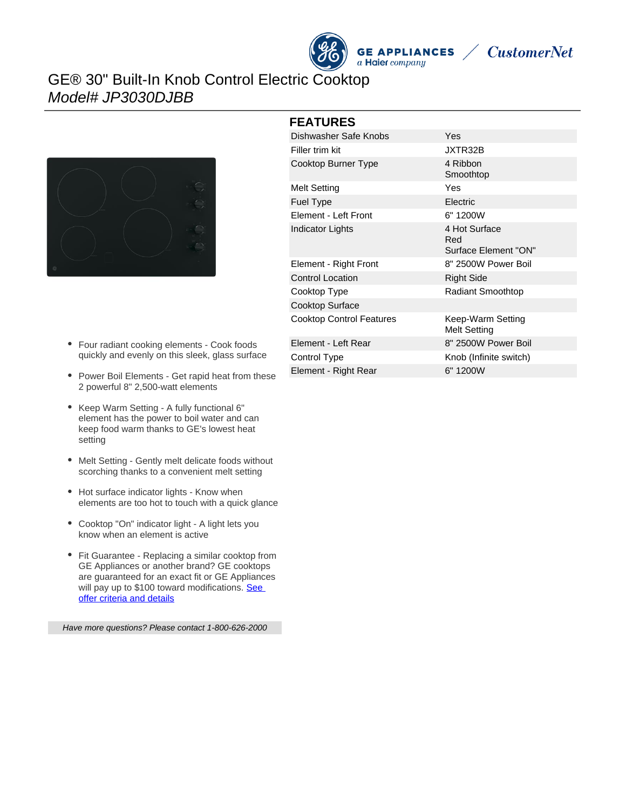## GE® 30" Built-In Knob Control Electric Cooktop Model# JP3030DJBB



- Four radiant cooking elements Cook foods quickly and evenly on this sleek, glass surface
- Power Boil Elements Get rapid heat from these 2 powerful 8" 2,500-watt elements
- Keep Warm Setting A fully functional 6" element has the power to boil water and can keep food warm thanks to GE's lowest heat setting
- Melt Setting Gently melt delicate foods without  $\bullet$ scorching thanks to a convenient melt setting
- Hot surface indicator lights Know when elements are too hot to touch with a quick glance
- Cooktop "On" indicator light A light lets you know when an element is active
- Fit Guarantee Replacing a similar cooktop from GE Appliances or another brand? GE cooktops are guaranteed for an exact fit or GE Appliances will pay up to \$100 toward modifications. See [offer criteria and details](http://www.geappliances.com/ge/cooktops/built_in_cooktop_rebate.pdf)

Have more questions? Please contact 1-800-626-2000

| <b>FEATURES</b>                 |                                              |
|---------------------------------|----------------------------------------------|
| Dishwasher Safe Knobs           | Yes                                          |
| Filler trim kit                 | JXTR32B                                      |
| Cooktop Burner Type             | 4 Ribbon<br>Smoothtop                        |
| <b>Melt Setting</b>             | Yes                                          |
| <b>Fuel Type</b>                | Electric                                     |
| Element - Left Front            | 6" 1200W                                     |
| Indicator Lights                | 4 Hot Surface<br>Red<br>Surface Element "ON" |
| Element - Right Front           | 8" 2500W Power Boil                          |
| <b>Control Location</b>         | <b>Right Side</b>                            |
| Cooktop Type                    | <b>Radiant Smoothtop</b>                     |
| Cooktop Surface                 |                                              |
| <b>Cooktop Control Features</b> | Keep-Warm Setting<br><b>Melt Setting</b>     |
| Element - Left Rear             | 8" 2500W Power Boil                          |
| Control Type                    | Knob (Infinite switch)                       |
| Element - Right Rear            | 6" 1200W                                     |